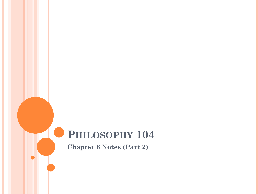# **PHILOSOPHY 104**

**Chapter 6 Notes (Part 2)**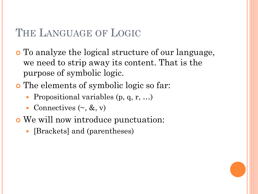## THE LANGUAGE OF LOGIC

- To analyze the logical structure of our language, we need to strip away its content. That is the purpose of symbolic logic.
- The elements of symbolic logic so far:
	- Propositional variables (p, q, r, ...)
	- Connectives  $(\sim, \&, \mathrm{v})$
- We will now introduce punctuation:
	- [Brackets] and (parentheses)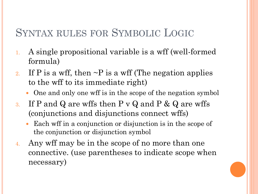## SYNTAX RULES FOR SYMBOLIC LOGIC

- 1. A single propositional variable is a wff (well-formed formula)
- 2. If P is a wff, then  $\sim$ P is a wff (The negation applies to the wff to its immediate right)
	- One and only one wff is in the scope of the negation symbol
- 3. If P and Q are wffs then P v Q and P & Q are wffs (conjunctions and disjunctions connect wffs)
	- Each wff in a conjunction or disjunction is in the scope of the conjunction or disjunction symbol
- 4. Any wff may be in the scope of no more than one connective. (use parentheses to indicate scope when necessary)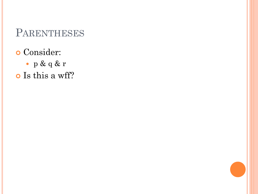- Consider:
	- p & q & r
- o Is this a wff?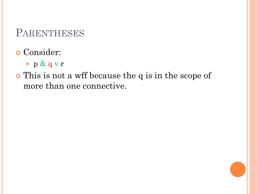- p & q v r
- This is not a wff because the q is in the scope of more than one connective.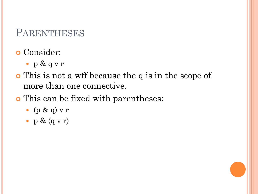- p & q v r
- This is not a wff because the q is in the scope of more than one connective.
- This can be fixed with parentheses:
	- (p & q)  $v r$
	- $p & (q & v)$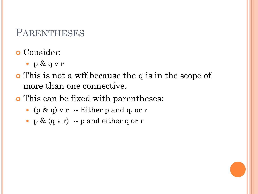- p & q v r
- This is not a wff because the q is in the scope of more than one connective.
- This can be fixed with parentheses:
	- $\bullet$  (p & q) v r -- Either p and q, or r
	- $p \& (q \vee r)$  --  $p$  and either q or r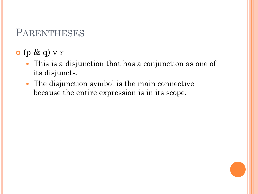- $o$  (p & q) v r
	- This is a disjunction that has a conjunction as one of its disjuncts.
	- The disjunction symbol is the main connective because the entire expression is in its scope.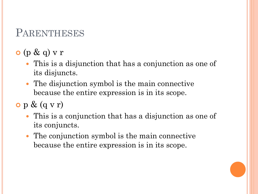- $o$  (p & q) v r
	- This is a disjunction that has a conjunction as one of its disjuncts.
	- The disjunction symbol is the main connective because the entire expression is in its scope.
- $\bullet$  p &  $(q \vee r)$ 
	- This is a conjunction that has a disjunction as one of its conjuncts.
	- The conjunction symbol is the main connective because the entire expression is in its scope.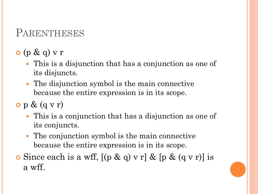- $o$  (p & q) v r
	- This is a disjunction that has a conjunction as one of its disjuncts.
	- The disjunction symbol is the main connective because the entire expression is in its scope.
- $\bullet$  p &  $(q \vee r)$ 
	- This is a conjunction that has a disjunction as one of its conjuncts.
	- The conjunction symbol is the main connective because the entire expression is in its scope.
- $\bullet$  Since each is a wff,  $[(p \& q) \vee r] \& [p \& (q \vee r)]$  is a wff.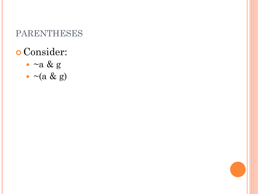- Consider:
	- $\bullet$  ~a & g
	- $\bullet \sim$  (a & g)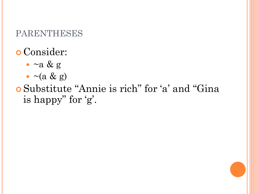# Consider:

- $\cdot$  ~a & g
- $\bullet \sim (a \& g)$

 Substitute "Annie is rich" for 'a' and "Gina is happy" for 'g'.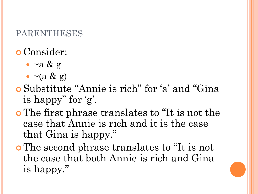- $\bullet$  ~a & g
- $\bullet \sim (a \& g)$
- Substitute "Annie is rich" for 'a' and "Gina is happy" for 'g'.
- The first phrase translates to "It is not the case that Annie is rich and it is the case that Gina is happy."
- The second phrase translates to "It is not the case that both Annie is rich and Gina is happy."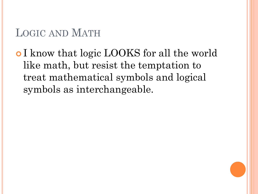## LOGIC AND MATH

**• I** know that logic LOOKS for all the world like math, but resist the temptation to treat mathematical symbols and logical symbols as interchangeable.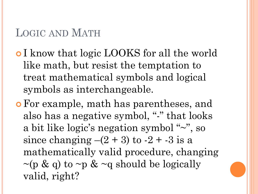## LOGIC AND MATH

- **I** know that logic LOOKS for all the world like math, but resist the temptation to treat mathematical symbols and logical symbols as interchangeable.
- For example, math has parentheses, and also has a negative symbol, "-" that looks a bit like logic's negation symbol "~", so since changing  $-(2 + 3)$  to  $-2 + -3$  is a mathematically valid procedure, changing  $\sim$ (p & q) to  $\sim$ p &  $\sim$ q should be logically valid, right?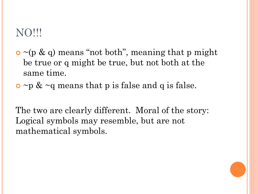## NO!!!

- $\bullet$  ~(p & q) means "not both", meaning that p might be true or q might be true, but not both at the same time.
- $\circ$  ~p & ~q means that p is false and q is false.

The two are clearly different. Moral of the story: Logical symbols may resemble, but are not mathematical symbols.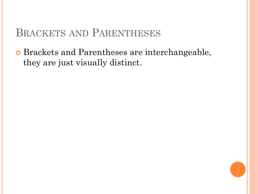## BRACKETS AND PARENTHESES

 Brackets and Parentheses are interchangeable, they are just visually distinct.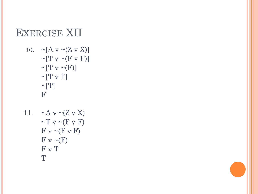# EXERCISE XII

10. 
$$
\sim [A \vee \sim (Z \vee X)]
$$

$$
\sim [T \vee \sim (F \vee F)]
$$

$$
\sim [T \vee \sim (F)]
$$

$$
\sim [T \vee T]
$$

$$
\sim [T]
$$

$$
F
$$

11. 
$$
\sim A \text{ v } \sim (Z \text{ v } X)
$$

$$
\sim T \text{ v } \sim (F \text{ v } F)
$$

$$
F \text{ v } \sim (F \text{ v } F)
$$

$$
F \text{ v } \sim (F)
$$

$$
F \text{ v } T
$$